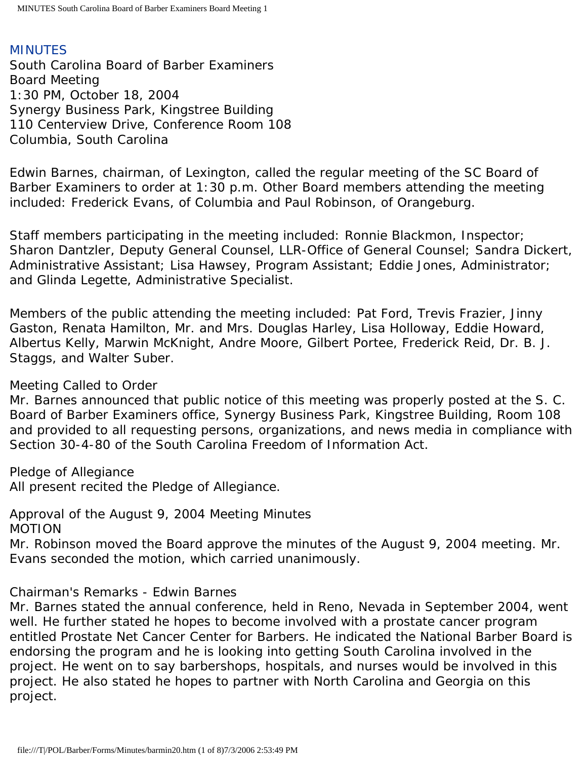## MINUTES

South Carolina Board of Barber Examiners Board Meeting 1:30 PM, October 18, 2004 Synergy Business Park, Kingstree Building 110 Centerview Drive, Conference Room 108 Columbia, South Carolina

Edwin Barnes, chairman, of Lexington, called the regular meeting of the SC Board of Barber Examiners to order at 1:30 p.m. Other Board members attending the meeting included: Frederick Evans, of Columbia and Paul Robinson, of Orangeburg.

Staff members participating in the meeting included: Ronnie Blackmon, Inspector; Sharon Dantzler, Deputy General Counsel, LLR-Office of General Counsel; Sandra Dickert, Administrative Assistant; Lisa Hawsey, Program Assistant; Eddie Jones, Administrator; and Glinda Legette, Administrative Specialist.

Members of the public attending the meeting included: Pat Ford, Trevis Frazier, Jinny Gaston, Renata Hamilton, Mr. and Mrs. Douglas Harley, Lisa Holloway, Eddie Howard, Albertus Kelly, Marwin McKnight, Andre Moore, Gilbert Portee, Frederick Reid, Dr. B. J. Staggs, and Walter Suber.

Meeting Called to Order

Mr. Barnes announced that public notice of this meeting was properly posted at the S. C. Board of Barber Examiners office, Synergy Business Park, Kingstree Building, Room 108 and provided to all requesting persons, organizations, and news media in compliance with Section 30-4-80 of the South Carolina Freedom of Information Act.

Pledge of Allegiance All present recited the Pledge of Allegiance.

Approval of the August 9, 2004 Meeting Minutes MOTION

Mr. Robinson moved the Board approve the minutes of the August 9, 2004 meeting. Mr. Evans seconded the motion, which carried unanimously.

Chairman's Remarks - Edwin Barnes

Mr. Barnes stated the annual conference, held in Reno, Nevada in September 2004, went well. He further stated he hopes to become involved with a prostate cancer program entitled Prostate Net Cancer Center for Barbers. He indicated the National Barber Board is endorsing the program and he is looking into getting South Carolina involved in the project. He went on to say barbershops, hospitals, and nurses would be involved in this project. He also stated he hopes to partner with North Carolina and Georgia on this project.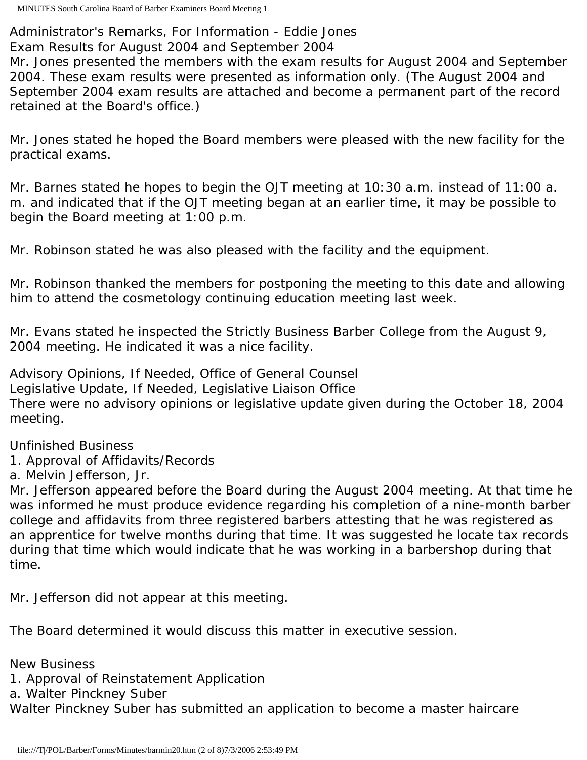Administrator's Remarks, For Information - Eddie Jones Exam Results for August 2004 and September 2004

Mr. Jones presented the members with the exam results for August 2004 and September 2004. These exam results were presented as information only. (The August 2004 and September 2004 exam results are attached and become a permanent part of the record retained at the Board's office.)

Mr. Jones stated he hoped the Board members were pleased with the new facility for the practical exams.

Mr. Barnes stated he hopes to begin the OJT meeting at 10:30 a.m. instead of 11:00 a. m. and indicated that if the OJT meeting began at an earlier time, it may be possible to begin the Board meeting at 1:00 p.m.

Mr. Robinson stated he was also pleased with the facility and the equipment.

Mr. Robinson thanked the members for postponing the meeting to this date and allowing him to attend the cosmetology continuing education meeting last week.

Mr. Evans stated he inspected the Strictly Business Barber College from the August 9, 2004 meeting. He indicated it was a nice facility.

Advisory Opinions, If Needed, Office of General Counsel Legislative Update, If Needed, Legislative Liaison Office There were no advisory opinions or legislative update given during the October 18, 2004 meeting.

# Unfinished Business

1. Approval of Affidavits/Records

a. Melvin Jefferson, Jr.

Mr. Jefferson appeared before the Board during the August 2004 meeting. At that time he was informed he must produce evidence regarding his completion of a nine-month barber college and affidavits from three registered barbers attesting that he was registered as an apprentice for twelve months during that time. It was suggested he locate tax records during that time which would indicate that he was working in a barbershop during that time.

Mr. Jefferson did not appear at this meeting.

The Board determined it would discuss this matter in executive session.

New Business

1. Approval of Reinstatement Application

a. Walter Pinckney Suber

Walter Pinckney Suber has submitted an application to become a master haircare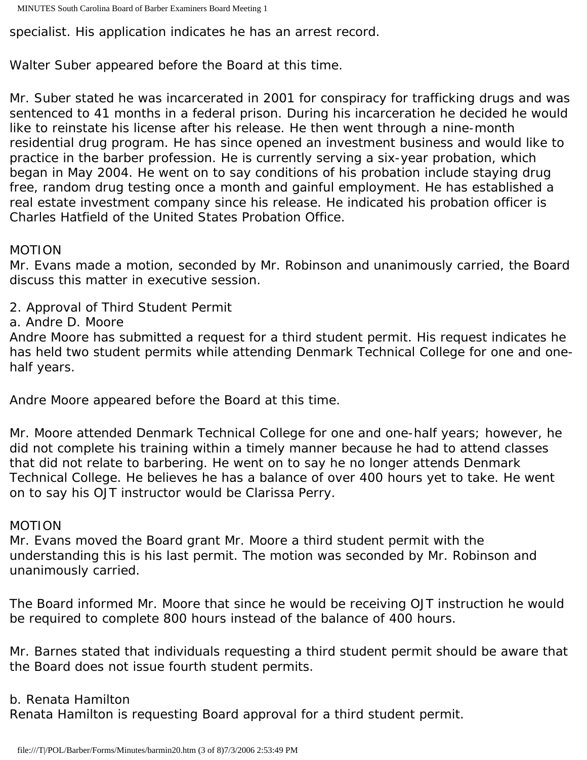specialist. His application indicates he has an arrest record.

Walter Suber appeared before the Board at this time.

Mr. Suber stated he was incarcerated in 2001 for conspiracy for trafficking drugs and was sentenced to 41 months in a federal prison. During his incarceration he decided he would like to reinstate his license after his release. He then went through a nine-month residential drug program. He has since opened an investment business and would like to practice in the barber profession. He is currently serving a six-year probation, which began in May 2004. He went on to say conditions of his probation include staying drug free, random drug testing once a month and gainful employment. He has established a real estate investment company since his release. He indicated his probation officer is Charles Hatfield of the United States Probation Office.

## MOTION

Mr. Evans made a motion, seconded by Mr. Robinson and unanimously carried, the Board discuss this matter in executive session.

2. Approval of Third Student Permit

a. Andre D. Moore

Andre Moore has submitted a request for a third student permit. His request indicates he has held two student permits while attending Denmark Technical College for one and onehalf years.

Andre Moore appeared before the Board at this time.

Mr. Moore attended Denmark Technical College for one and one-half years; however, he did not complete his training within a timely manner because he had to attend classes that did not relate to barbering. He went on to say he no longer attends Denmark Technical College. He believes he has a balance of over 400 hours yet to take. He went on to say his OJT instructor would be Clarissa Perry.

## MOTION

Mr. Evans moved the Board grant Mr. Moore a third student permit with the understanding this is his last permit. The motion was seconded by Mr. Robinson and unanimously carried.

The Board informed Mr. Moore that since he would be receiving OJT instruction he would be required to complete 800 hours instead of the balance of 400 hours.

Mr. Barnes stated that individuals requesting a third student permit should be aware that the Board does not issue fourth student permits.

## b. Renata Hamilton

Renata Hamilton is requesting Board approval for a third student permit.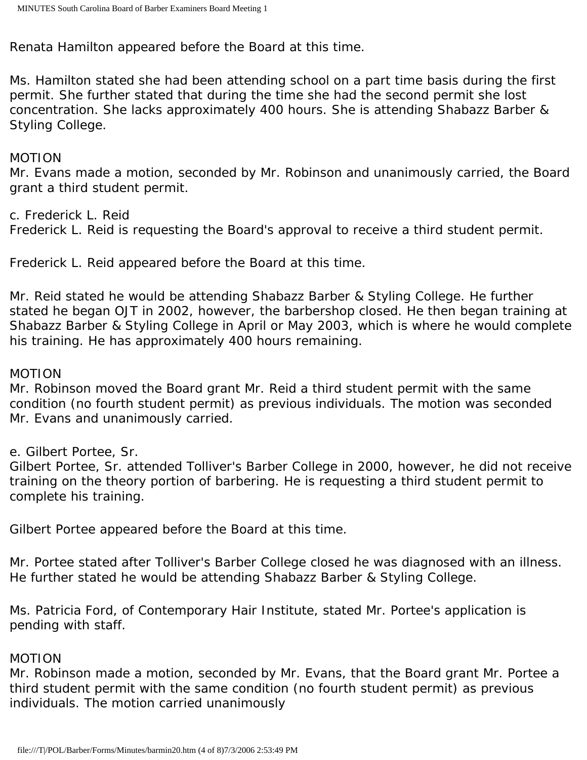Renata Hamilton appeared before the Board at this time.

Ms. Hamilton stated she had been attending school on a part time basis during the first permit. She further stated that during the time she had the second permit she lost concentration. She lacks approximately 400 hours. She is attending Shabazz Barber & Styling College.

#### MOTION

Mr. Evans made a motion, seconded by Mr. Robinson and unanimously carried, the Board grant a third student permit.

c. Frederick L. Reid

Frederick L. Reid is requesting the Board's approval to receive a third student permit.

Frederick L. Reid appeared before the Board at this time.

Mr. Reid stated he would be attending Shabazz Barber & Styling College. He further stated he began OJT in 2002, however, the barbershop closed. He then began training at Shabazz Barber & Styling College in April or May 2003, which is where he would complete his training. He has approximately 400 hours remaining.

#### MOTION

Mr. Robinson moved the Board grant Mr. Reid a third student permit with the same condition (no fourth student permit) as previous individuals. The motion was seconded Mr. Evans and unanimously carried.

e. Gilbert Portee, Sr.

Gilbert Portee, Sr. attended Tolliver's Barber College in 2000, however, he did not receive training on the theory portion of barbering. He is requesting a third student permit to complete his training.

Gilbert Portee appeared before the Board at this time.

Mr. Portee stated after Tolliver's Barber College closed he was diagnosed with an illness. He further stated he would be attending Shabazz Barber & Styling College.

Ms. Patricia Ford, of Contemporary Hair Institute, stated Mr. Portee's application is pending with staff.

#### MOTION

Mr. Robinson made a motion, seconded by Mr. Evans, that the Board grant Mr. Portee a third student permit with the same condition (no fourth student permit) as previous individuals. The motion carried unanimously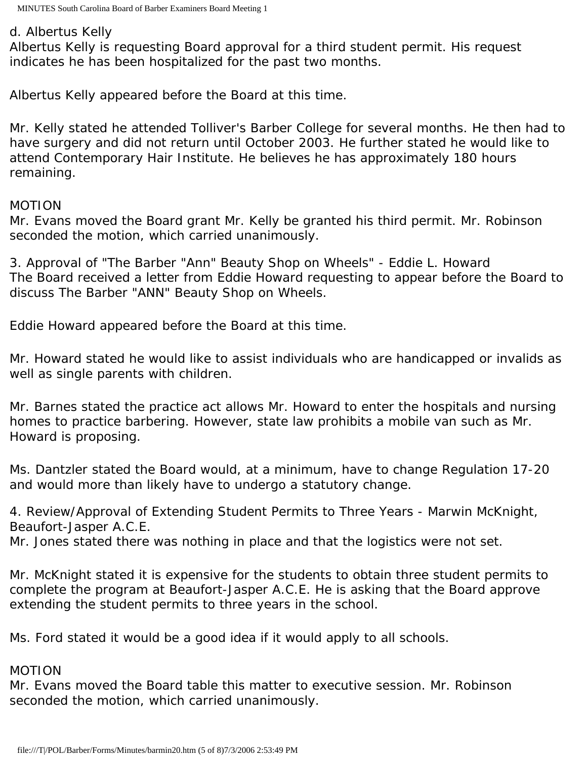d. Albertus Kelly

Albertus Kelly is requesting Board approval for a third student permit. His request indicates he has been hospitalized for the past two months.

Albertus Kelly appeared before the Board at this time.

Mr. Kelly stated he attended Tolliver's Barber College for several months. He then had to have surgery and did not return until October 2003. He further stated he would like to attend Contemporary Hair Institute. He believes he has approximately 180 hours remaining.

### MOTION

Mr. Evans moved the Board grant Mr. Kelly be granted his third permit. Mr. Robinson seconded the motion, which carried unanimously.

3. Approval of "The Barber "Ann" Beauty Shop on Wheels" - Eddie L. Howard The Board received a letter from Eddie Howard requesting to appear before the Board to discuss The Barber "ANN" Beauty Shop on Wheels.

Eddie Howard appeared before the Board at this time.

Mr. Howard stated he would like to assist individuals who are handicapped or invalids as well as single parents with children.

Mr. Barnes stated the practice act allows Mr. Howard to enter the hospitals and nursing homes to practice barbering. However, state law prohibits a mobile van such as Mr. Howard is proposing.

Ms. Dantzler stated the Board would, at a minimum, have to change Regulation 17-20 and would more than likely have to undergo a statutory change.

4. Review/Approval of Extending Student Permits to Three Years - Marwin McKnight, Beaufort-Jasper A.C.E.

Mr. Jones stated there was nothing in place and that the logistics were not set.

Mr. McKnight stated it is expensive for the students to obtain three student permits to complete the program at Beaufort-Jasper A.C.E. He is asking that the Board approve extending the student permits to three years in the school.

Ms. Ford stated it would be a good idea if it would apply to all schools.

## MOTION

Mr. Evans moved the Board table this matter to executive session. Mr. Robinson seconded the motion, which carried unanimously.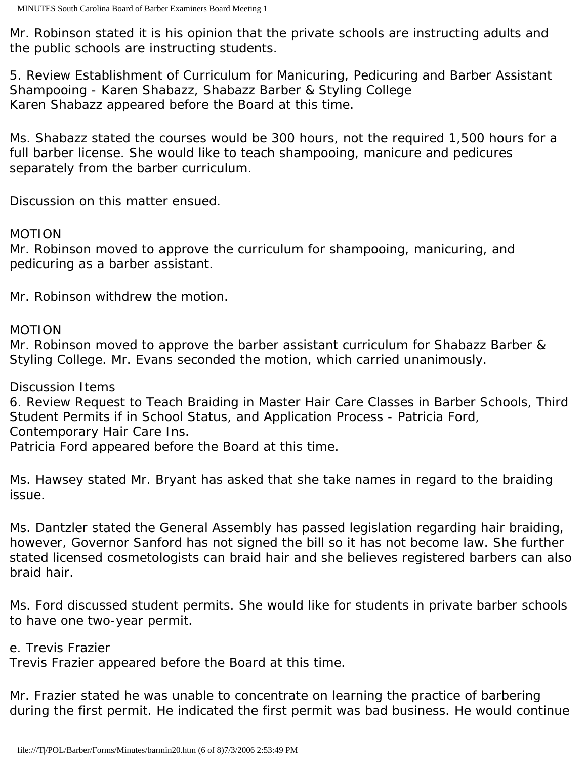Mr. Robinson stated it is his opinion that the private schools are instructing adults and the public schools are instructing students.

5. Review Establishment of Curriculum for Manicuring, Pedicuring and Barber Assistant Shampooing - Karen Shabazz, Shabazz Barber & Styling College Karen Shabazz appeared before the Board at this time.

Ms. Shabazz stated the courses would be 300 hours, not the required 1,500 hours for a full barber license. She would like to teach shampooing, manicure and pedicures separately from the barber curriculum.

Discussion on this matter ensued.

#### MOTION

Mr. Robinson moved to approve the curriculum for shampooing, manicuring, and pedicuring as a barber assistant.

Mr. Robinson withdrew the motion.

### MOTION

Mr. Robinson moved to approve the barber assistant curriculum for Shabazz Barber & Styling College. Mr. Evans seconded the motion, which carried unanimously.

## Discussion Items

6. Review Request to Teach Braiding in Master Hair Care Classes in Barber Schools, Third Student Permits if in School Status, and Application Process - Patricia Ford, Contemporary Hair Care Ins.

Patricia Ford appeared before the Board at this time.

Ms. Hawsey stated Mr. Bryant has asked that she take names in regard to the braiding issue.

Ms. Dantzler stated the General Assembly has passed legislation regarding hair braiding, however, Governor Sanford has not signed the bill so it has not become law. She further stated licensed cosmetologists can braid hair and she believes registered barbers can also braid hair.

Ms. Ford discussed student permits. She would like for students in private barber schools to have one two-year permit.

## e. Trevis Frazier

Trevis Frazier appeared before the Board at this time.

Mr. Frazier stated he was unable to concentrate on learning the practice of barbering during the first permit. He indicated the first permit was bad business. He would continue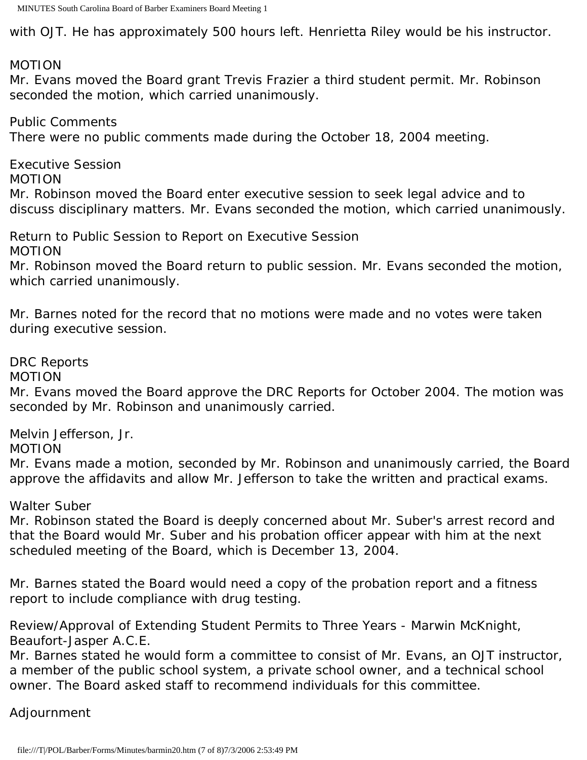with OJT. He has approximately 500 hours left. Henrietta Riley would be his instructor.

MOTION

Mr. Evans moved the Board grant Trevis Frazier a third student permit. Mr. Robinson seconded the motion, which carried unanimously.

Public Comments There were no public comments made during the October 18, 2004 meeting.

Executive Session MOTION Mr. Robinson moved the Board enter executive session to seek legal advice and to discuss disciplinary matters. Mr. Evans seconded the motion, which carried unanimously.

Return to Public Session to Report on Executive Session MOTION

Mr. Robinson moved the Board return to public session. Mr. Evans seconded the motion, which carried unanimously.

Mr. Barnes noted for the record that no motions were made and no votes were taken during executive session.

DRC Reports

MOTION

Mr. Evans moved the Board approve the DRC Reports for October 2004. The motion was seconded by Mr. Robinson and unanimously carried.

Melvin Jefferson, Jr.

MOTION

Mr. Evans made a motion, seconded by Mr. Robinson and unanimously carried, the Board approve the affidavits and allow Mr. Jefferson to take the written and practical exams.

Walter Suber

Mr. Robinson stated the Board is deeply concerned about Mr. Suber's arrest record and that the Board would Mr. Suber and his probation officer appear with him at the next scheduled meeting of the Board, which is December 13, 2004.

Mr. Barnes stated the Board would need a copy of the probation report and a fitness report to include compliance with drug testing.

Review/Approval of Extending Student Permits to Three Years - Marwin McKnight, Beaufort-Jasper A.C.E.

Mr. Barnes stated he would form a committee to consist of Mr. Evans, an OJT instructor, a member of the public school system, a private school owner, and a technical school owner. The Board asked staff to recommend individuals for this committee.

Adjournment